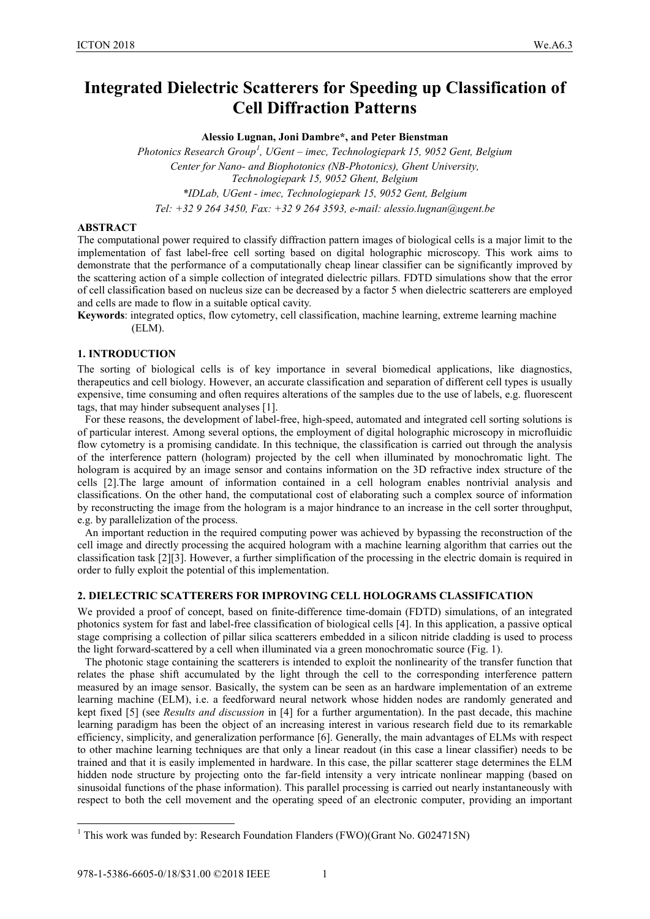# **Integrated Dielectric Scatterers for Speeding up Classification of Cell Diffraction Patterns**

**Alessio Lugnan, Joni Dambre\*, and Peter Bienstman**

*Photonics Research Group<sup>1</sup> , UGent – imec, Technologiepark 15, 9052 Gent, Belgium Center for Nano- and Biophotonics (NB-Photonics), Ghent University, Technologiepark 15, 9052 Ghent, Belgium \*IDLab, UGent - imec, Technologiepark 15, 9052 Gent, Belgium*

*Tel: +32 9 264 3450, Fax: +32 9 264 3593, e-mail: alessio.lugnan@ugent.be*

## **ABSTRACT**

The computational power required to classify diffraction pattern images of biological cells is a major limit to the implementation of fast label-free cell sorting based on digital holographic microscopy. This work aims to demonstrate that the performance of a computationally cheap linear classifier can be significantly improved by the scattering action of a simple collection of integrated dielectric pillars. FDTD simulations show that the error of cell classification based on nucleus size can be decreased by a factor 5 when dielectric scatterers are employed and cells are made to flow in a suitable optical cavity.

**Keywords**: integrated optics, flow cytometry, cell classification, machine learning, extreme learning machine (ELM).

# **1. INTRODUCTION**

The sorting of biological cells is of key importance in several biomedical applications, like diagnostics, therapeutics and cell biology. However, an accurate classification and separation of different cell types is usually expensive, time consuming and often requires alterations of the samples due to the use of labels, e.g. fluorescent tags, that may hinder subsequent analyses [1].

For these reasons, the development of label-free, high-speed, automated and integrated cell sorting solutions is of particular interest. Among several options, the employment of digital holographic microscopy in microfluidic flow cytometry is a promising candidate. In this technique, the classification is carried out through the analysis of the interference pattern (hologram) projected by the cell when illuminated by monochromatic light. The hologram is acquired by an image sensor and contains information on the 3D refractive index structure of the cells [2].The large amount of information contained in a cell hologram enables nontrivial analysis and classifications. On the other hand, the computational cost of elaborating such a complex source of information by reconstructing the image from the hologram is a major hindrance to an increase in the cell sorter throughput, e.g. by parallelization of the process.

An important reduction in the required computing power was achieved by bypassing the reconstruction of the cell image and directly processing the acquired hologram with a machine learning algorithm that carries out the classification task [2][3]. However, a further simplification of the processing in the electric domain is required in order to fully exploit the potential of this implementation.

## **2. DIELECTRIC SCATTERERS FOR IMPROVING CELL HOLOGRAMS CLASSIFICATION**

We provided a proof of concept, based on finite-difference time-domain (FDTD) simulations, of an integrated photonics system for fast and label-free classification of biological cells [4]. In this application, a passive optical stage comprising a collection of pillar silica scatterers embedded in a silicon nitride cladding is used to process the light forward-scattered by a cell when illuminated via a green monochromatic source (Fig. 1).

The photonic stage containing the scatterers is intended to exploit the nonlinearity of the transfer function that relates the phase shift accumulated by the light through the cell to the corresponding interference pattern measured by an image sensor. Basically, the system can be seen as an hardware implementation of an extreme learning machine (ELM), i.e. a feedforward neural network whose hidden nodes are randomly generated and kept fixed [5] (see *Results and discussion* in [4] for a further argumentation). In the past decade, this machine learning paradigm has been the object of an increasing interest in various research field due to its remarkable efficiency, simplicity, and generalization performance [6]. Generally, the main advantages of ELMs with respect to other machine learning techniques are that only a linear readout (in this case a linear classifier) needs to be trained and that it is easily implemented in hardware. In this case, the pillar scatterer stage determines the ELM hidden node structure by projecting onto the far-field intensity a very intricate nonlinear mapping (based on sinusoidal functions of the phase information). This parallel processing is carried out nearly instantaneously with respect to both the cell movement and the operating speed of an electronic computer, providing an important

<sup>&</sup>lt;sup>1</sup> This work was funded by: Research Foundation Flanders (FWO)(Grant No. G024715N)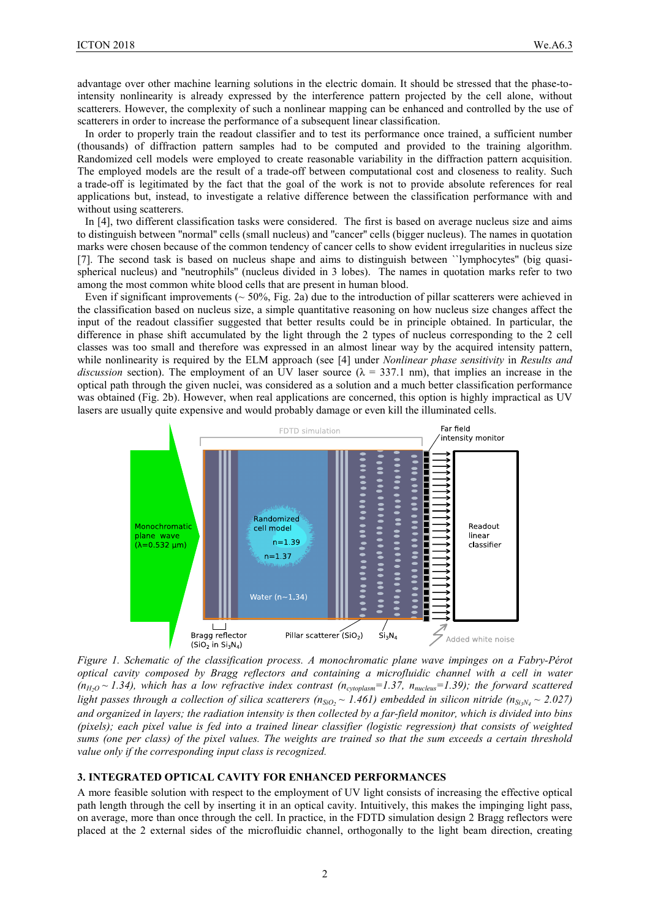advantage over other machine learning solutions in the electric domain. It should be stressed that the phase-tointensity nonlinearity is already expressed by the interference pattern projected by the cell alone, without scatterers. However, the complexity of such a nonlinear mapping can be enhanced and controlled by the use of scatterers in order to increase the performance of a subsequent linear classification.

In order to properly train the readout classifier and to test its performance once trained, a sufficient number (thousands) of diffraction pattern samples had to be computed and provided to the training algorithm. Randomized cell models were employed to create reasonable variability in the diffraction pattern acquisition. The employed models are the result of a trade-off between computational cost and closeness to reality. Such a trade-off is legitimated by the fact that the goal of the work is not to provide absolute references for real applications but, instead, to investigate a relative difference between the classification performance with and without using scatterers.

In [4], two different classification tasks were considered. The first is based on average nucleus size and aims to distinguish between ''normal'' cells (small nucleus) and ''cancer'' cells (bigger nucleus). The names in quotation marks were chosen because of the common tendency of cancer cells to show evident irregularities in nucleus size [7]. The second task is based on nucleus shape and aims to distinguish between ``lymphocytes'' (big quasispherical nucleus) and ''neutrophils'' (nucleus divided in 3 lobes). The names in quotation marks refer to two among the most common white blood cells that are present in human blood.

Even if significant improvements ( $\sim$  50%. Fig. 2a) due to the introduction of pillar scatterers were achieved in the classification based on nucleus size, a simple quantitative reasoning on how nucleus size changes affect the input of the readout classifier suggested that better results could be in principle obtained. In particular, the difference in phase shift accumulated by the light through the 2 types of nucleus corresponding to the 2 cell classes was too small and therefore was expressed in an almost linear way by the acquired intensity pattern, while nonlinearity is required by the ELM approach (see [4] under *Nonlinear phase sensitivity* in *Results and discussion* section). The employment of an UV laser source ( $\lambda = 337.1$  nm), that implies an increase in the optical path through the given nuclei, was considered as a solution and a much better classification performance was obtained (Fig. 2b). However, when real applications are concerned, this option is highly impractical as UV lasers are usually quite expensive and would probably damage or even kill the illuminated cells.



*Figure 1. Schematic of the classification process. A monochromatic plane wave impinges on a Fabry-Pérot optical cavity composed by Bragg reflectors and containing a microfluidic channel with a cell in water*   $(n_{H_2O} \sim 1.34)$ , which has a low refractive index contrast  $(n_{cytoplasm}=1.37, n_{nucleus}=1.39)$ ; the forward scattered *light passes through a collection of silica scatterers (n<sub>SiO</sub>,*  $\sim$  *1.461) embedded in silicon nitride (n<sub>SiNA</sub>*  $\sim$  *2.027) and organized in layers; the radiation intensity is then collected by a far-field monitor, which is divided into bins (pixels); each pixel value is fed into a trained linear classifier (logistic regression) that consists of weighted sums (one per class) of the pixel values. The weights are trained so that the sum exceeds a certain threshold value only if the corresponding input class is recognized.*

#### **3. INTEGRATED OPTICAL CAVITY FOR ENHANCED PERFORMANCES**

A more feasible solution with respect to the employment of UV light consists of increasing the effective optical path length through the cell by inserting it in an optical cavity. Intuitively, this makes the impinging light pass, on average, more than once through the cell. In practice, in the FDTD simulation design 2 Bragg reflectors were placed at the 2 external sides of the microfluidic channel, orthogonally to the light beam direction, creating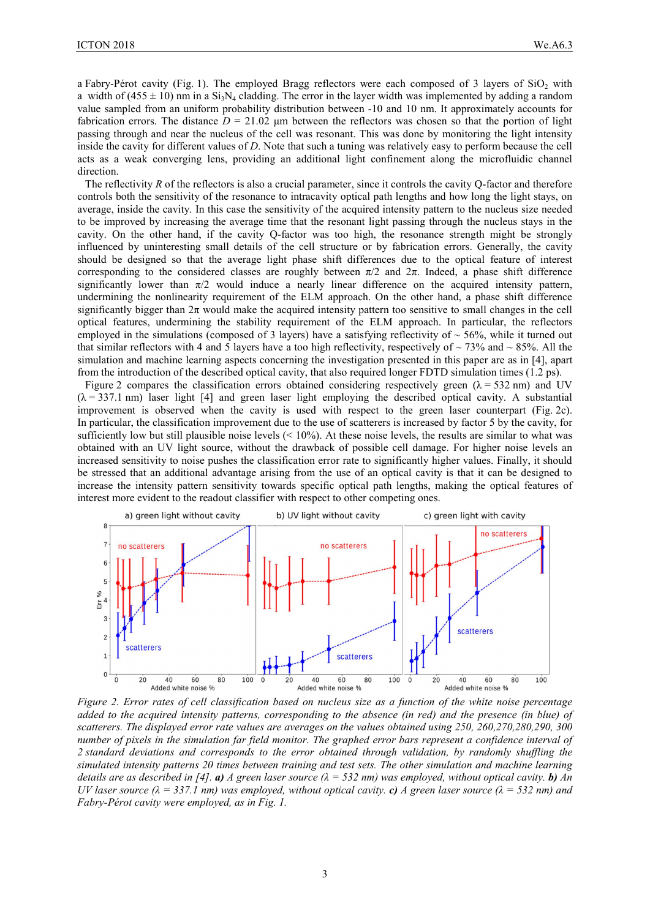a Fabry-Pérot cavity (Fig. 1). The employed Bragg reflectors were each composed of 3 layers of  $SiO<sub>2</sub>$  with a width of (455  $\pm$  10) nm in a Si<sub>3</sub>N<sub>4</sub> cladding. The error in the layer width was implemented by adding a random value sampled from an uniform probability distribution between -10 and 10 nm. It approximately accounts for fabrication errors. The distance  $D = 21.02$  µm between the reflectors was chosen so that the portion of light passing through and near the nucleus of the cell was resonant. This was done by monitoring the light intensity inside the cavity for different values of *D*. Note that such a tuning was relatively easy to perform because the cell acts as a weak converging lens, providing an additional light confinement along the microfluidic channel direction.

The reflectivity *R* of the reflectors is also a crucial parameter, since it controls the cavity Q-factor and therefore controls both the sensitivity of the resonance to intracavity optical path lengths and how long the light stays, on average, inside the cavity. In this case the sensitivity of the acquired intensity pattern to the nucleus size needed to be improved by increasing the average time that the resonant light passing through the nucleus stays in the cavity. On the other hand, if the cavity Q-factor was too high, the resonance strength might be strongly influenced by uninteresting small details of the cell structure or by fabrication errors. Generally, the cavity should be designed so that the average light phase shift differences due to the optical feature of interest corresponding to the considered classes are roughly between  $\pi/2$  and  $2\pi$ . Indeed, a phase shift difference significantly lower than  $\pi/2$  would induce a nearly linear difference on the acquired intensity pattern, undermining the nonlinearity requirement of the ELM approach. On the other hand, a phase shift difference significantly bigger than  $2\pi$  would make the acquired intensity pattern too sensitive to small changes in the cell optical features, undermining the stability requirement of the ELM approach. In particular, the reflectors employed in the simulations (composed of 3 layers) have a satisfying reflectivity of  $\sim$  56%, while it turned out that similar reflectors with 4 and 5 layers have a too high reflectivity, respectively of  $\sim$  73% and  $\sim$  85%. All the simulation and machine learning aspects concerning the investigation presented in this paper are as in [4], apart from the introduction of the described optical cavity, that also required longer FDTD simulation times (1.2 ps).

Figure 2 compares the classification errors obtained considering respectively green ( $\lambda$  = 532 nm) and UV  $(\lambda = 337.1 \text{ nm})$  laser light [4] and green laser light employing the described optical cavity. A substantial improvement is observed when the cavity is used with respect to the green laser counterpart (Fig. 2c). In particular, the classification improvement due to the use of scatterers is increased by factor 5 by the cavity, for sufficiently low but still plausible noise levels  $($  < 10%). At these noise levels, the results are similar to what was obtained with an UV light source, without the drawback of possible cell damage. For higher noise levels an increased sensitivity to noise pushes the classification error rate to significantly higher values. Finally, it should be stressed that an additional advantage arising from the use of an optical cavity is that it can be designed to increase the intensity pattern sensitivity towards specific optical path lengths, making the optical features of interest more evident to the readout classifier with respect to other competing ones.



*Figure 2. Error rates of cell classification based on nucleus size as a function of the white noise percentage added to the acquired intensity patterns, corresponding to the absence (in red) and the presence (in blue) of scatterers. The displayed error rate values are averages on the values obtained using 250, 260,270,280,290, 300 number of pixels in the simulation far field monitor. The graphed error bars represent a confidence interval of 2 standard deviations and corresponds to the error obtained through validation, by randomly shuffling the simulated intensity patterns 20 times between training and test sets. The other simulation and machine learning details are as described in [4]. a) <i>A* green laser source  $(\lambda = 532 \text{ nm})$  was employed, without optical cavity. **b)** *An UV laser source*  $(\lambda = 337.1 \text{ nm})$  was employed, without optical cavity. *c***)** *A* green laser source  $(\lambda = 532 \text{ nm})$  and *Fabry-Pérot cavity were employed, as in Fig. 1.*